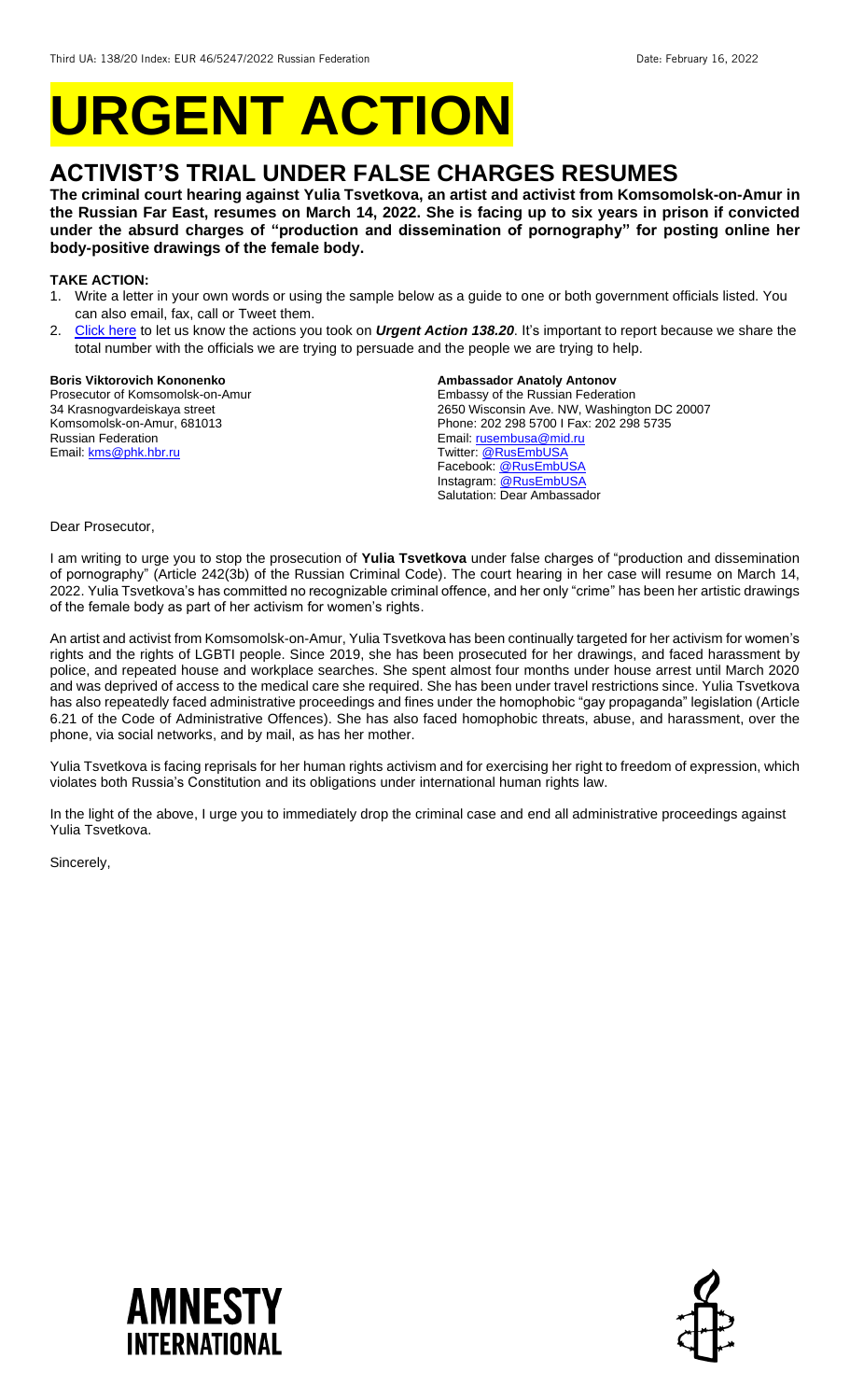# **URGENT ACTION**

# **ACTIVIST'S TRIAL UNDER FALSE CHARGES RESUMES**

**The criminal court hearing against Yulia Tsvetkova, an artist and activist from Komsomolsk-on-Amur in the Russian Far East, resumes on March 14, 2022. She is facing up to six years in prison if convicted under the absurd charges of "production and dissemination of pornography" for posting online her body-positive drawings of the female body.** 

## **TAKE ACTION:**

- 1. Write a letter in your own words or using the sample below as a guide to one or both government officials listed. You can also email, fax, call or Tweet them.
- 2. [Click here](https://www.amnestyusa.org/report-urgent-actions/) to let us know the actions you took on *Urgent Action 138.20*. It's important to report because we share the total number with the officials we are trying to persuade and the people we are trying to help.

#### **Boris Viktorovich Kononenko**

Prosecutor of Komsomolsk-on-Amur 34 Krasnogvardeiskaya street Komsomolsk-on-Amur, 681013 Russian Federation Email[: kms@phk.hbr.ru](mailto:kms@phk.hbr.ru)

## **Ambassador Anatoly Antonov**

Embassy of the Russian Federation 2650 Wisconsin Ave. NW, Washington DC 20007 Phone: 202 298 5700 I Fax: 202 298 5735 Email[: rusembusa@mid.ru](mailto:rusembusa@mid.ru) Twitter: [@RusEmbUSA](https://twitter.com/RusEmbUSA) Facebook: **@RusEmbUSA** Instagram: [@RusEmbUSA](https://www.instagram.com/rusembusa/?hl=en) Salutation: Dear Ambassador

#### Dear Prosecutor,

I am writing to urge you to stop the prosecution of **Yulia Tsvetkova** under false charges of "production and dissemination of pornography" (Article 242(3b) of the Russian Criminal Code). The court hearing in her case will resume on March 14, 2022. Yulia Tsvetkova's has committed no recognizable criminal offence, and her only "crime" has been her artistic drawings of the female body as part of her activism for women's rights.

An artist and activist from Komsomolsk-on-Amur, Yulia Tsvetkova has been continually targeted for her activism for women's rights and the rights of LGBTI people. Since 2019, she has been prosecuted for her drawings, and faced harassment by police, and repeated house and workplace searches. She spent almost four months under house arrest until March 2020 and was deprived of access to the medical care she required. She has been under travel restrictions since. Yulia Tsvetkova has also repeatedly faced administrative proceedings and fines under the homophobic "gay propaganda" legislation (Article 6.21 of the Code of Administrative Offences). She has also faced homophobic threats, abuse, and harassment, over the phone, via social networks, and by mail, as has her mother.

Yulia Tsvetkova is facing reprisals for her human rights activism and for exercising her right to freedom of expression, which violates both Russia's Constitution and its obligations under international human rights law.

In the light of the above, I urge you to immediately drop the criminal case and end all administrative proceedings against Yulia Tsvetkova.

Sincerely,